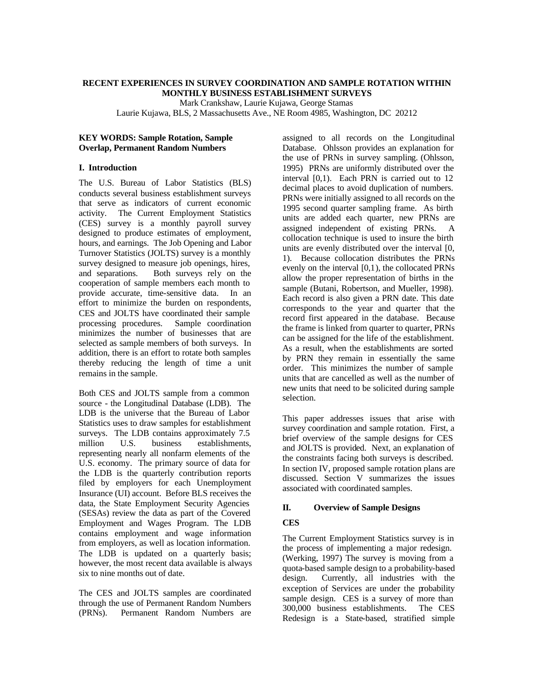#### **RECENT EXPERIENCES IN SURVEY COORDINATION AND SAMPLE ROTATION WITHIN MONTHLY BUSINESS ESTABLISHMENT SURVEYS**

Mark Crankshaw, Laurie Kujawa, George Stamas

Laurie Kujawa, BLS, 2 Massachusetts Ave., NE Room 4985, Washington, DC 20212

#### **KEY WORDS: Sample Rotation, Sample Overlap, Permanent Random Numbers**

#### **I. Introduction**

The U.S. Bureau of Labor Statistics (BLS) conducts several business establishment surveys that serve as indicators of current economic activity. The Current Employment Statistics (CES) survey is a monthly payroll survey designed to produce estimates of employment, hours, and earnings. The Job Opening and Labor Turnover Statistics (JOLTS) survey is a monthly survey designed to measure job openings, hires, and separations. Both surveys rely on the cooperation of sample members each month to provide accurate, time-sensitive data. In an effort to minimize the burden on respondents, CES and JOLTS have coordinated their sample processing procedures. Sample coordination minimizes the number of businesses that are selected as sample members of both surveys. In addition, there is an effort to rotate both samples thereby reducing the length of time a unit remains in the sample.

Both CES and JOLTS sample from a common source - the Longitudinal Database (LDB). The LDB is the universe that the Bureau of Labor Statistics uses to draw samples for establishment surveys. The LDB contains approximately 7.5 million U.S. business establishments, representing nearly all nonfarm elements of the U.S. economy. The primary source of data for the LDB is the quarterly contribution reports filed by employers for each Unemployment Insurance (UI) account. Before BLS receives the data, the State Employment Security Agencies (SESAs) review the data as part of the Covered Employment and Wages Program. The LDB contains employment and wage information from employers, as well as location information. The LDB is updated on a quarterly basis; however, the most recent data available is always six to nine months out of date.

The CES and JOLTS samples are coordinated through the use of Permanent Random Numbers (PRNs). Permanent Random Numbers are assigned to all records on the Longitudinal Database. Ohlsson provides an explanation for the use of PRNs in survey sampling. (Ohlsson, 1995) PRNs are uniformly distributed over the interval [0,1). Each PRN is carried out to 12 decimal places to avoid duplication of numbers. PRNs were initially assigned to all records on the 1995 second quarter sampling frame. As birth units are added each quarter, new PRNs are assigned independent of existing PRNs. A collocation technique is used to insure the birth units are evenly distributed over the interval [0, 1). Because collocation distributes the PRNs evenly on the interval [0,1), the collocated PRNs allow the proper representation of births in the sample (Butani, Robertson, and Mueller, 1998). Each record is also given a PRN date. This date corresponds to the year and quarter that the record first appeared in the database. Because the frame is linked from quarter to quarter, PRNs can be assigned for the life of the establishment. As a result, when the establishments are sorted by PRN they remain in essentially the same order. This minimizes the number of sample units that are cancelled as well as the number of new units that need to be solicited during sample selection.

This paper addresses issues that arise with survey coordination and sample rotation. First, a brief overview of the sample designs for CES and JOLTS is provided. Next, an explanation of the constraints facing both surveys is described. In section IV, proposed sample rotation plans are discussed. Section V summarizes the issues associated with coordinated samples.

## **II. Overview of Sample Designs**

# **CES**

The Current Employment Statistics survey is in the process of implementing a major redesign. (Werking, 1997) The survey is moving from a quota-based sample design to a probability-based design. Currently, all industries with the exception of Services are under the probability sample design. CES is a survey of more than 300,000 business establishments. The CES Redesign is a State-based, stratified simple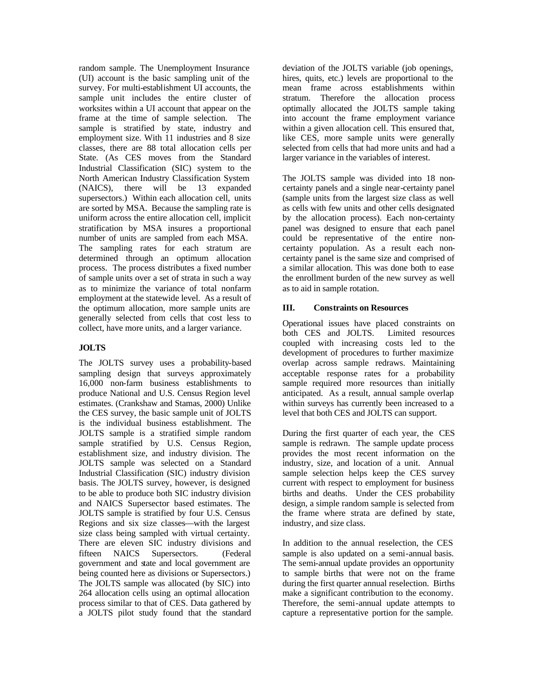random sample. The Unemployment Insurance (UI) account is the basic sampling unit of the survey. For multi-establishment UI accounts, the sample unit includes the entire cluster of worksites within a UI account that appear on the frame at the time of sample selection. The sample is stratified by state, industry and employment size. With 11 industries and 8 size classes, there are 88 total allocation cells per State. (As CES moves from the Standard Industrial Classification (SIC) system to the North American Industry Classification System (NAICS), there will be 13 expanded supersectors.) Within each allocation cell, units are sorted by MSA. Because the sampling rate is uniform across the entire allocation cell, implicit stratification by MSA insures a proportional number of units are sampled from each MSA. The sampling rates for each stratum are determined through an optimum allocation process. The process distributes a fixed number of sample units over a set of strata in such a way as to minimize the variance of total nonfarm employment at the statewide level. As a result of the optimum allocation, more sample units are generally selected from cells that cost less to collect, have more units, and a larger variance.

## **JOLTS**

The JOLTS survey uses a probability-based sampling design that surveys approximately 16,000 non-farm business establishments to produce National and U.S. Census Region level estimates. (Crankshaw and Stamas, 2000) Unlike the CES survey, the basic sample unit of JOLTS is the individual business establishment. The JOLTS sample is a stratified simple random sample stratified by U.S. Census Region, establishment size, and industry division. The JOLTS sample was selected on a Standard Industrial Classification (SIC) industry division basis. The JOLTS survey, however, is designed to be able to produce both SIC industry division and NAICS Supersector based estimates. The JOLTS sample is stratified by four U.S. Census Regions and six size classes—with the largest size class being sampled with virtual certainty. There are eleven SIC industry divisions and fifteen NAICS Supersectors. (Federal government and state and local government are being counted here as divisions or Supersectors.) The JOLTS sample was allocated (by SIC) into 264 allocation cells using an optimal allocation process similar to that of CES. Data gathered by a JOLTS pilot study found that the standard

deviation of the JOLTS variable (job openings, hires, quits, etc.) levels are proportional to the mean frame across establishments within stratum. Therefore the allocation process optimally allocated the JOLTS sample taking into account the frame employment variance within a given allocation cell. This ensured that, like CES, more sample units were generally selected from cells that had more units and had a larger variance in the variables of interest.

The JOLTS sample was divided into 18 noncertainty panels and a single near-certainty panel (sample units from the largest size class as well as cells with few units and other cells designated by the allocation process). Each non-certainty panel was designed to ensure that each panel could be representative of the entire noncertainty population. As a result each noncertainty panel is the same size and comprised of a similar allocation. This was done both to ease the enrollment burden of the new survey as well as to aid in sample rotation.

## **III. Constraints on Resources**

Operational issues have placed constraints on both CES and JOLTS. Limited resources coupled with increasing costs led to the development of procedures to further maximize overlap across sample redraws. Maintaining acceptable response rates for a probability sample required more resources than initially anticipated. As a result, annual sample overlap within surveys has currently been increased to a level that both CES and JOLTS can support.

During the first quarter of each year, the CES sample is redrawn. The sample update process provides the most recent information on the industry, size, and location of a unit. Annual sample selection helps keep the CES survey current with respect to employment for business births and deaths. Under the CES probability design, a simple random sample is selected from the frame where strata are defined by state, industry, and size class.

In addition to the annual reselection, the CES sample is also updated on a semi-annual basis. The semi-annual update provides an opportunity to sample births that were not on the frame during the first quarter annual reselection. Births make a significant contribution to the economy. Therefore, the semi-annual update attempts to capture a representative portion for the sample.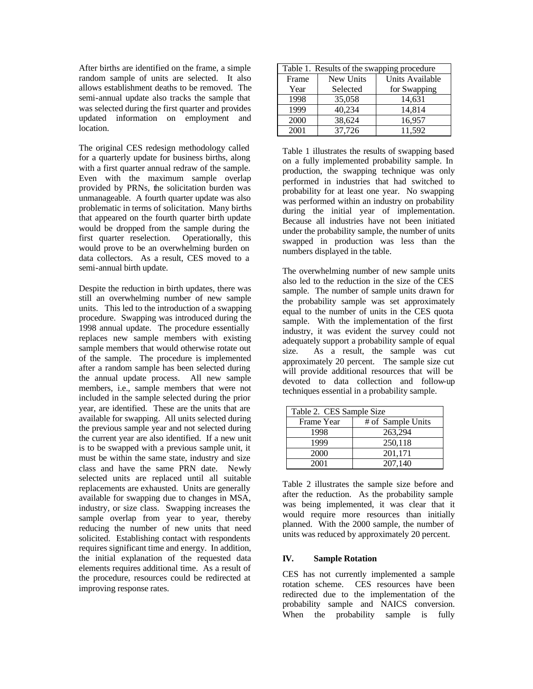After births are identified on the frame, a simple random sample of units are selected. It also allows establishment deaths to be removed. The semi-annual update also tracks the sample that was selected during the first quarter and provides updated information on employment and location.

The original CES redesign methodology called for a quarterly update for business births, along with a first quarter annual redraw of the sample. Even with the maximum sample overlap provided by PRNs, the solicitation burden was unmanageable. A fourth quarter update was also problematic in terms of solicitation. Many births that appeared on the fourth quarter birth update would be dropped from the sample during the first quarter reselection. Operationally, this would prove to be an overwhelming burden on data collectors. As a result, CES moved to a semi-annual birth update.

Despite the reduction in birth updates, there was still an overwhelming number of new sample units. This led to the introduction of a swapping procedure. Swapping was introduced during the 1998 annual update. The procedure essentially replaces new sample members with existing sample members that would otherwise rotate out of the sample. The procedure is implemented after a random sample has been selected during the annual update process. All new sample members, i.e., sample members that were not included in the sample selected during the prior year, are identified. These are the units that are available for swapping. All units selected during the previous sample year and not selected during the current year are also identified. If a new unit is to be swapped with a previous sample unit, it must be within the same state, industry and size class and have the same PRN date. Newly selected units are replaced until all suitable replacements are exhausted. Units are generally available for swapping due to changes in MSA, industry, or size class. Swapping increases the sample overlap from year to year, thereby reducing the number of new units that need solicited. Establishing contact with respondents requires significant time and energy. In addition, the initial explanation of the requested data elements requires additional time. As a result of the procedure, resources could be redirected at improving response rates.

| Table 1. Results of the swapping procedure |           |                 |  |  |  |
|--------------------------------------------|-----------|-----------------|--|--|--|
| Frame                                      | New Units | Units Available |  |  |  |
| Year                                       | Selected  | for Swapping    |  |  |  |
| 1998                                       | 35,058    | 14,631          |  |  |  |
| 1999                                       | 40,234    | 14,814          |  |  |  |
| 2000                                       | 38,624    | 16,957          |  |  |  |
| 2001                                       | 37,726    | 11,592          |  |  |  |

Table 1 illustrates the results of swapping based on a fully implemented probability sample. In production, the swapping technique was only performed in industries that had switched to probability for at least one year. No swapping was performed within an industry on probability during the initial year of implementation. Because all industries have not been initiated under the probability sample, the number of units swapped in production was less than the numbers displayed in the table.

The overwhelming number of new sample units also led to the reduction in the size of the CES sample. The number of sample units drawn for the probability sample was set approximately equal to the number of units in the CES quota sample. With the implementation of the first industry, it was evident the survey could not adequately support a probability sample of equal size. As a result, the sample was cut approximately 20 percent. The sample size cut will provide additional resources that will be devoted to data collection and follow-up techniques essential in a probability sample.

| Table 2. CES Sample Size |                   |  |  |  |
|--------------------------|-------------------|--|--|--|
| Frame Year               | # of Sample Units |  |  |  |
| 1998                     | 263,294           |  |  |  |
| 1999                     | 250,118           |  |  |  |
| 2000                     | 201,171           |  |  |  |
| 2001                     | 207,140           |  |  |  |

Table 2 illustrates the sample size before and after the reduction. As the probability sample was being implemented, it was clear that it would require more resources than initially planned. With the 2000 sample, the number of units was reduced by approximately 20 percent.

## **IV. Sample Rotation**

CES has not currently implemented a sample rotation scheme. CES resources have been redirected due to the implementation of the probability sample and NAICS conversion. When the probability sample is fully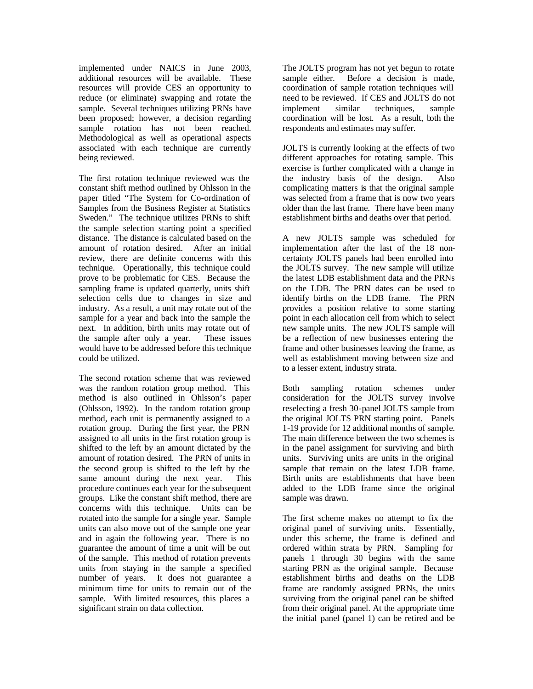implemented under NAICS in June 2003, additional resources will be available. These resources will provide CES an opportunity to reduce (or eliminate) swapping and rotate the sample. Several techniques utilizing PRNs have been proposed; however, a decision regarding sample rotation has not been reached. Methodological as well as operational aspects associated with each technique are currently being reviewed.

The first rotation technique reviewed was the constant shift method outlined by Ohlsson in the paper titled "The System for Co-ordination of Samples from the Business Register at Statistics Sweden." The technique utilizes PRNs to shift the sample selection starting point a specified distance. The distance is calculated based on the amount of rotation desired. After an initial review, there are definite concerns with this technique. Operationally, this technique could prove to be problematic for CES. Because the sampling frame is updated quarterly, units shift selection cells due to changes in size and industry. As a result, a unit may rotate out of the sample for a year and back into the sample the next. In addition, birth units may rotate out of the sample after only a year. These issues would have to be addressed before this technique could be utilized.

The second rotation scheme that was reviewed was the random rotation group method. This method is also outlined in Ohlsson's paper (Ohlsson, 1992). In the random rotation group method, each unit is permanently assigned to a rotation group. During the first year, the PRN assigned to all units in the first rotation group is shifted to the left by an amount dictated by the amount of rotation desired. The PRN of units in the second group is shifted to the left by the same amount during the next year. This procedure continues each year for the subsequent groups. Like the constant shift method, there are concerns with this technique. Units can be rotated into the sample for a single year. Sample units can also move out of the sample one year and in again the following year. There is no guarantee the amount of time a unit will be out of the sample. This method of rotation prevents units from staying in the sample a specified number of years. It does not guarantee a minimum time for units to remain out of the sample. With limited resources, this places a significant strain on data collection.

The JOLTS program has not yet begun to rotate sample either. Before a decision is made, coordination of sample rotation techniques will need to be reviewed. If CES and JOLTS do not implement similar techniques, sample coordination will be lost. As a result, both the respondents and estimates may suffer.

JOLTS is currently looking at the effects of two different approaches for rotating sample. This exercise is further complicated with a change in the industry basis of the design. Also complicating matters is that the original sample was selected from a frame that is now two years older than the last frame. There have been many establishment births and deaths over that period.

A new JOLTS sample was scheduled for implementation after the last of the 18 noncertainty JOLTS panels had been enrolled into the JOLTS survey. The new sample will utilize the latest LDB establishment data and the PRNs on the LDB. The PRN dates can be used to identify births on the LDB frame. The PRN provides a position relative to some starting point in each allocation cell from which to select new sample units. The new JOLTS sample will be a reflection of new businesses entering the frame and other businesses leaving the frame, as well as establishment moving between size and to a lesser extent, industry strata.

Both sampling rotation schemes under consideration for the JOLTS survey involve reselecting a fresh 30-panel JOLTS sample from the original JOLTS PRN starting point. Panels 1-19 provide for 12 additional months of sample. The main difference between the two schemes is in the panel assignment for surviving and birth units. Surviving units are units in the original sample that remain on the latest LDB frame. Birth units are establishments that have been added to the LDB frame since the original sample was drawn.

The first scheme makes no attempt to fix the original panel of surviving units. Essentially, under this scheme, the frame is defined and ordered within strata by PRN. Sampling for panels 1 through 30 begins with the same starting PRN as the original sample. Because establishment births and deaths on the LDB frame are randomly assigned PRNs, the units surviving from the original panel can be shifted from their original panel. At the appropriate time the initial panel (panel 1) can be retired and be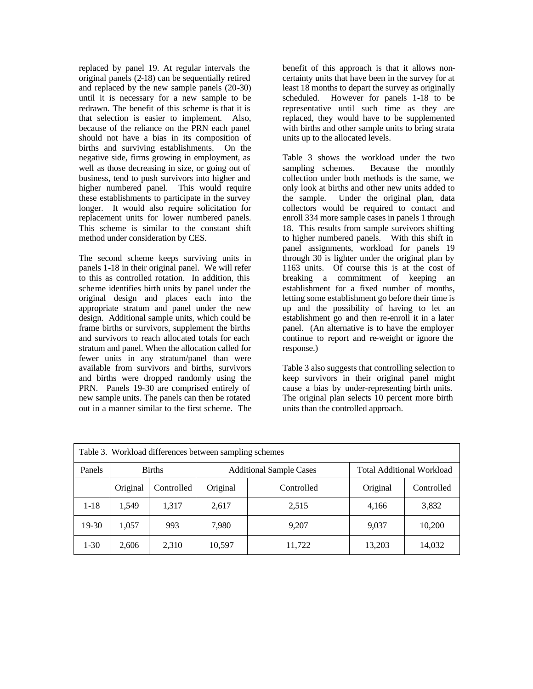replaced by panel 19. At regular intervals the original panels (2-18) can be sequentially retired and replaced by the new sample panels (20-30) until it is necessary for a new sample to be redrawn. The benefit of this scheme is that it is that selection is easier to implement. Also, because of the reliance on the PRN each panel should not have a bias in its composition of births and surviving establishments. On the negative side, firms growing in employment, as well as those decreasing in size, or going out of business, tend to push survivors into higher and higher numbered panel. This would require these establishments to participate in the survey longer. It would also require solicitation for replacement units for lower numbered panels. This scheme is similar to the constant shift method under consideration by CES.

The second scheme keeps surviving units in panels 1-18 in their original panel. We will refer to this as controlled rotation. In addition, this scheme identifies birth units by panel under the original design and places each into the appropriate stratum and panel under the new design. Additional sample units, which could be frame births or survivors, supplement the births and survivors to reach allocated totals for each stratum and panel. When the allocation called for fewer units in any stratum/panel than were available from survivors and births, survivors and births were dropped randomly using the PRN. Panels 19-30 are comprised entirely of new sample units. The panels can then be rotated out in a manner similar to the first scheme. The benefit of this approach is that it allows noncertainty units that have been in the survey for at least 18 months to depart the survey as originally scheduled. However for panels 1-18 to be representative until such time as they are replaced, they would have to be supplemented with births and other sample units to bring strata units up to the allocated levels.

Table 3 shows the workload under the two sampling schemes. Because the monthly collection under both methods is the same, we only look at births and other new units added to the sample. Under the original plan, data collectors would be required to contact and enroll 334 more sample cases in panels 1 through 18. This results from sample survivors shifting to higher numbered panels. With this shift in panel assignments, workload for panels 19 through 30 is lighter under the original plan by 1163 units. Of course this is at the cost of breaking a commitment of keeping an establishment for a fixed number of months, letting some establishment go before their time is up and the possibility of having to let an establishment go and then re-enroll it in a later panel. (An alternative is to have the employer continue to report and re-weight or ignore the response.)

Table 3 also suggests that controlling selection to keep survivors in their original panel might cause a bias by under-representing birth units. The original plan selects 10 percent more birth units than the controlled approach.

| Table 3. Workload differences between sampling schemes |               |            |                                |            |                                  |            |  |  |
|--------------------------------------------------------|---------------|------------|--------------------------------|------------|----------------------------------|------------|--|--|
| Panels                                                 | <b>Births</b> |            | <b>Additional Sample Cases</b> |            | <b>Total Additional Workload</b> |            |  |  |
|                                                        | Original      | Controlled | Original                       | Controlled | Original                         | Controlled |  |  |
| $1 - 18$                                               | 1,549         | 1,317      | 2,617                          | 2,515      | 4.166                            | 3,832      |  |  |
| $19-30$                                                | 1,057         | 993        | 7,980                          | 9,207      | 9,037                            | 10,200     |  |  |
| $1 - 30$                                               | 2,606         | 2,310      | 10,597                         | 11,722     | 13,203                           | 14,032     |  |  |